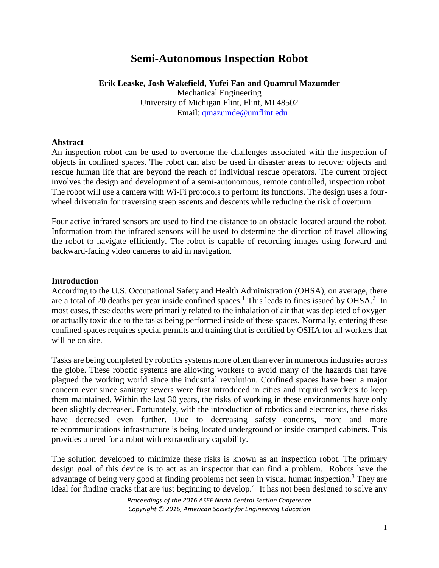# **Semi-Autonomous Inspection Robot**

### **Erik Leaske, Josh Wakefield, Yufei Fan and Quamrul Mazumder**

Mechanical Engineering University of Michigan Flint, Flint, MI 48502 Email: [qmazumde@umflint.edu](mailto:qmazumde@umflint.edu)

#### **Abstract**

An inspection robot can be used to overcome the challenges associated with the inspection of objects in confined spaces. The robot can also be used in disaster areas to recover objects and rescue human life that are beyond the reach of individual rescue operators. The current project involves the design and development of a semi-autonomous, remote controlled, inspection robot. The robot will use a camera with Wi-Fi protocols to perform its functions. The design uses a fourwheel drivetrain for traversing steep ascents and descents while reducing the risk of overturn.

Four active infrared sensors are used to find the distance to an obstacle located around the robot. Information from the infrared sensors will be used to determine the direction of travel allowing the robot to navigate efficiently. The robot is capable of recording images using forward and backward-facing video cameras to aid in navigation.

#### **Introduction**

According to the U.S. Occupational Safety and Health Administration (OHSA), on average, there are a total of 20 deaths per year inside confined spaces.<sup>1</sup> This leads to fines issued by OHSA.<sup>2</sup> In most cases, these deaths were primarily related to the inhalation of air that was depleted of oxygen or actually toxic due to the tasks being performed inside of these spaces. Normally, entering these confined spaces requires special permits and training that is certified by OSHA for all workers that will be on site.

Tasks are being completed by robotics systems more often than ever in numerous industries across the globe. These robotic systems are allowing workers to avoid many of the hazards that have plagued the working world since the industrial revolution. Confined spaces have been a major concern ever since sanitary sewers were first introduced in cities and required workers to keep them maintained. Within the last 30 years, the risks of working in these environments have only been slightly decreased. Fortunately, with the introduction of robotics and electronics, these risks have decreased even further. Due to decreasing safety concerns, more and more telecommunications infrastructure is being located underground or inside cramped cabinets. This provides a need for a robot with extraordinary capability.

The solution developed to minimize these risks is known as an inspection robot. The primary design goal of this device is to act as an inspector that can find a problem. Robots have the advantage of being very good at finding problems not seen in visual human inspection.<sup>3</sup> They are ideal for finding cracks that are just beginning to develop.<sup>4</sup> It has not been designed to solve any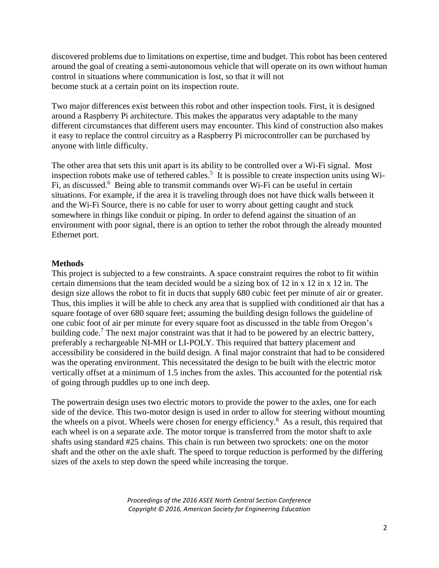discovered problems due to limitations on expertise, time and budget. This robot has been centered around the goal of creating a semi-autonomous vehicle that will operate on its own without human control in situations where communication is lost, so that it will not become stuck at a certain point on its inspection route.

Two major differences exist between this robot and other inspection tools. First, it is designed around a Raspberry Pi architecture. This makes the apparatus very adaptable to the many different circumstances that different users may encounter. This kind of construction also makes it easy to replace the control circuitry as a Raspberry Pi microcontroller can be purchased by anyone with little difficulty.

The other area that sets this unit apart is its ability to be controlled over a Wi-Fi signal. Most inspection robots make use of tethered cables.<sup>5</sup> It is possible to create inspection units using Wi-Fi, as discussed.<sup>6</sup> Being able to transmit commands over Wi-Fi can be useful in certain situations. For example, if the area it is traveling through does not have thick walls between it and the Wi-Fi Source, there is no cable for user to worry about getting caught and stuck somewhere in things like conduit or piping. In order to defend against the situation of an environment with poor signal, there is an option to tether the robot through the already mounted Ethernet port.

#### **Methods**

This project is subjected to a few constraints. A space constraint requires the robot to fit within certain dimensions that the team decided would be a sizing box of 12 in x 12 in x 12 in. The design size allows the robot to fit in ducts that supply 680 cubic feet per minute of air or greater. Thus, this implies it will be able to check any area that is supplied with conditioned air that has a square footage of over 680 square feet; assuming the building design follows the guideline of one cubic foot of air per minute for every square foot as discussed in the table from Oregon's building code.<sup>7</sup> The next major constraint was that it had to be powered by an electric battery, preferably a rechargeable NI-MH or LI-POLY. This required that battery placement and accessibility be considered in the build design. A final major constraint that had to be considered was the operating environment. This necessitated the design to be built with the electric motor vertically offset at a minimum of 1.5 inches from the axles. This accounted for the potential risk of going through puddles up to one inch deep.

The powertrain design uses two electric motors to provide the power to the axles, one for each side of the device. This two-motor design is used in order to allow for steering without mounting the wheels on a pivot. Wheels were chosen for energy efficiency.<sup>8</sup> As a result, this required that each wheel is on a separate axle. The motor torque is transferred from the motor shaft to axle shafts using standard #25 chains. This chain is run between two sprockets: one on the motor shaft and the other on the axle shaft. The speed to torque reduction is performed by the differing sizes of the axels to step down the speed while increasing the torque.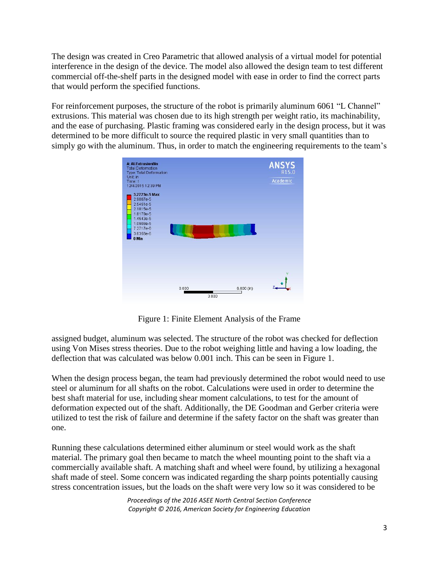The design was created in Creo Parametric that allowed analysis of a virtual model for potential interference in the design of the device. The model also allowed the design team to test different commercial off-the-shelf parts in the designed model with ease in order to find the correct parts that would perform the specified functions.

For reinforcement purposes, the structure of the robot is primarily aluminum 6061 "L Channel" extrusions. This material was chosen due to its high strength per weight ratio, its machinability, and the ease of purchasing. Plastic framing was considered early in the design process, but it was determined to be more difficult to source the required plastic in very small quantities than to simply go with the aluminum. Thus, in order to match the engineering requirements to the team's



Figure 1: Finite Element Analysis of the Frame

assigned budget, aluminum was selected. The structure of the robot was checked for deflection using Von Mises stress theories. Due to the robot weighing little and having a low loading, the deflection that was calculated was below 0.001 inch. This can be seen in Figure 1.

When the design process began, the team had previously determined the robot would need to use steel or aluminum for all shafts on the robot. Calculations were used in order to determine the best shaft material for use, including shear moment calculations, to test for the amount of deformation expected out of the shaft. Additionally, the DE Goodman and Gerber criteria were utilized to test the risk of failure and determine if the safety factor on the shaft was greater than one.

Running these calculations determined either aluminum or steel would work as the shaft material. The primary goal then became to match the wheel mounting point to the shaft via a commercially available shaft. A matching shaft and wheel were found, by utilizing a hexagonal shaft made of steel. Some concern was indicated regarding the sharp points potentially causing stress concentration issues, but the loads on the shaft were very low so it was considered to be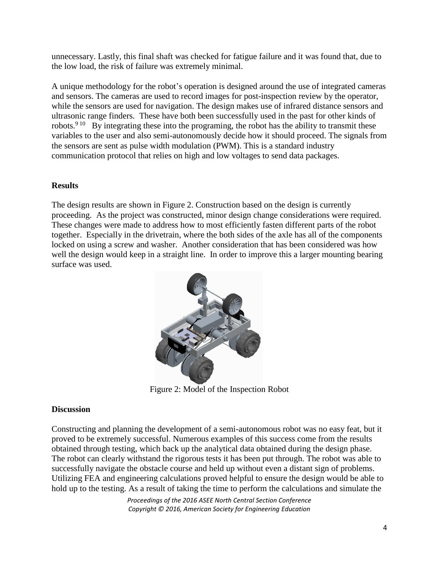unnecessary. Lastly, this final shaft was checked for fatigue failure and it was found that, due to the low load, the risk of failure was extremely minimal.

A unique methodology for the robot's operation is designed around the use of integrated cameras and sensors. The cameras are used to record images for post-inspection review by the operator, while the sensors are used for navigation. The design makes use of infrared distance sensors and ultrasonic range finders. These have both been successfully used in the past for other kinds of robots.<sup>9 10</sup> By integrating these into the programing, the robot has the ability to transmit these variables to the user and also semi-autonomously decide how it should proceed. The signals from the sensors are sent as pulse width modulation (PWM). This is a standard industry communication protocol that relies on high and low voltages to send data packages.

## **Results**

The design results are shown in Figure 2. Construction based on the design is currently proceeding. As the project was constructed, minor design change considerations were required. These changes were made to address how to most efficiently fasten different parts of the robot together. Especially in the drivetrain, where the both sides of the axle has all of the components locked on using a screw and washer. Another consideration that has been considered was how well the design would keep in a straight line. In order to improve this a larger mounting bearing surface was used.



Figure 2: Model of the Inspection Robot

## **Discussion**

Constructing and planning the development of a semi-autonomous robot was no easy feat, but it proved to be extremely successful. Numerous examples of this success come from the results obtained through testing, which back up the analytical data obtained during the design phase. The robot can clearly withstand the rigorous tests it has been put through. The robot was able to successfully navigate the obstacle course and held up without even a distant sign of problems. Utilizing FEA and engineering calculations proved helpful to ensure the design would be able to hold up to the testing. As a result of taking the time to perform the calculations and simulate the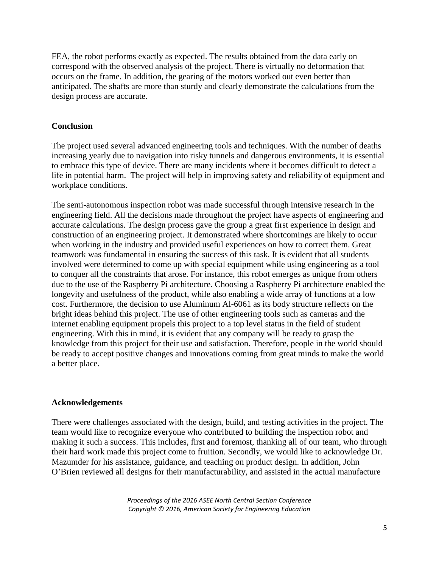FEA, the robot performs exactly as expected. The results obtained from the data early on correspond with the observed analysis of the project. There is virtually no deformation that occurs on the frame. In addition, the gearing of the motors worked out even better than anticipated. The shafts are more than sturdy and clearly demonstrate the calculations from the design process are accurate.

## **Conclusion**

The project used several advanced engineering tools and techniques. With the number of deaths increasing yearly due to navigation into risky tunnels and dangerous environments, it is essential to embrace this type of device. There are many incidents where it becomes difficult to detect a life in potential harm. The project will help in improving safety and reliability of equipment and workplace conditions.

The semi-autonomous inspection robot was made successful through intensive research in the engineering field. All the decisions made throughout the project have aspects of engineering and accurate calculations. The design process gave the group a great first experience in design and construction of an engineering project. It demonstrated where shortcomings are likely to occur when working in the industry and provided useful experiences on how to correct them. Great teamwork was fundamental in ensuring the success of this task. It is evident that all students involved were determined to come up with special equipment while using engineering as a tool to conquer all the constraints that arose. For instance, this robot emerges as unique from others due to the use of the Raspberry Pi architecture. Choosing a Raspberry Pi architecture enabled the longevity and usefulness of the product, while also enabling a wide array of functions at a low cost. Furthermore, the decision to use Aluminum Al-6061 as its body structure reflects on the bright ideas behind this project. The use of other engineering tools such as cameras and the internet enabling equipment propels this project to a top level status in the field of student engineering. With this in mind, it is evident that any company will be ready to grasp the knowledge from this project for their use and satisfaction. Therefore, people in the world should be ready to accept positive changes and innovations coming from great minds to make the world a better place.

#### **Acknowledgements**

There were challenges associated with the design, build, and testing activities in the project. The team would like to recognize everyone who contributed to building the inspection robot and making it such a success. This includes, first and foremost, thanking all of our team, who through their hard work made this project come to fruition. Secondly, we would like to acknowledge Dr. Mazumder for his assistance, guidance, and teaching on product design. In addition, John O'Brien reviewed all designs for their manufacturability, and assisted in the actual manufacture